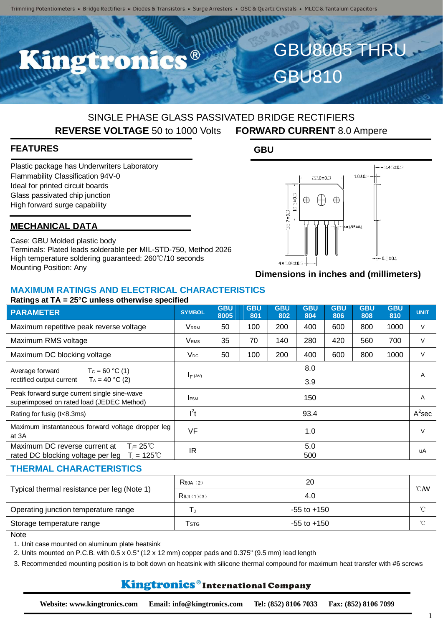R<sup>®</sup>

## SINGLE PHASE GLASS PASSIVATED BRIDGE RECTIFIERS **REVERSE VOLTAGE** 50 to 1000 Volts **FORWARD CURRENT** 8.0 Ampere

## **FEATURES**

Plastic package has Underwriters Laboratory Flammability Classification 94V-0 Ideal for printed circuit boards Glass passivated chip junction High forward surge capability

## **MECHANICAL DATA**

Case: GBU Molded plastic body Terminals: Plated leads solderable per MIL-STD-750, Method 2026 High temperature soldering guaranteed: 260℃/10 seconds Mounting Position: Any

GBU810

**GBU**



GBU8005 THRU

**Dimensions in inches and (millimeters)**

### **MAXIMUM RATINGS AND ELECTRICAL CHARACTERISTICS Ratings at TA = 25°C unless otherwise specified**

| $\frac{1}{2}$ at $\frac{1}{2}$ $\frac{1}{2}$ $\frac{1}{2}$ $\frac{1}{2}$ and $\frac{1}{2}$ and $\frac{1}{2}$ and $\frac{1}{2}$ |                         |                    |                   |                   |                   |                   |                   |                   |                |
|--------------------------------------------------------------------------------------------------------------------------------|-------------------------|--------------------|-------------------|-------------------|-------------------|-------------------|-------------------|-------------------|----------------|
| <b>PARAMETER</b>                                                                                                               | <b>SYMBOL</b>           | <b>GBU</b><br>8005 | <b>GBU</b><br>801 | <b>GBU</b><br>802 | <b>GBU</b><br>804 | <b>GBU</b><br>806 | <b>GBU</b><br>808 | <b>GBU</b><br>810 | <b>UNIT</b>    |
| Maximum repetitive peak reverse voltage                                                                                        | Vrrm                    | 50                 | 100               | 200               | 400               | 600               | 800               | 1000              | V              |
| Maximum RMS voltage                                                                                                            | <b>V</b> <sub>RMS</sub> | 35                 | 70                | 140               | 280               | 420               | 560               | 700               | $\vee$         |
| Maximum DC blocking voltage                                                                                                    | $V_{DC}$                | 50                 | 100               | 200               | 400               | 600               | 800               | 1000              | $\vee$         |
| Average forward<br>$T_c = 60 °C (1)$<br>rectified output current<br>$T_A = 40 °C (2)$                                          | $I_F (AV)$              |                    |                   |                   | 8.0<br>3.9        |                   |                   |                   | $\overline{A}$ |
| Peak forward surge current single sine-wave<br>superimposed on rated load (JEDEC Method)                                       | <b>FSM</b>              |                    |                   |                   | 150               |                   |                   |                   | $\overline{A}$ |
| Rating for fusig (t<8.3ms)                                                                                                     | $I^2t$                  |                    |                   |                   | 93.4              |                   |                   |                   | $A^2$ sec      |
| Maximum instantaneous forward voltage dropper leg<br>at 3A                                                                     | <b>VF</b>               |                    |                   |                   | 1.0               |                   |                   |                   | $\vee$         |
| Maximum DC reverse current at<br>$T = 25^{\circ}C$<br>$T_i = 125^{\circ}C$<br>rated DC blocking voltage per leg                | IR                      |                    |                   |                   | 5.0<br>500        |                   |                   |                   | uA             |
| <b>THERMAL CHARACTERISTICS</b>                                                                                                 |                         |                    |                   |                   |                   |                   |                   |                   |                |

| Typical thermal resistance per leg (Note 1) | $R$ $(2)$                | 20              |               |
|---------------------------------------------|--------------------------|-----------------|---------------|
|                                             | $R$ $\theta$ JL $(1)(3)$ | 4.0             | $\degree$ CMV |
| Operating junction temperature range        |                          | $-55$ to $+150$ | $\sim$        |
| Storage temperature range                   | Tstg                     | $-55$ to $+150$ | $\gamma$      |

**Note** 

1. Unit case mounted on aluminum plate heatsink

2. Units mounted on P.C.B. with 0.5 x 0.5" (12 x 12 mm) copper pads and 0.375" (9.5 mm) lead length

3. Recommended mounting position is to bolt down on heatsink with silicone thermal compound for maximum heat transfer with #6 screws

## Kingtronics®International Company

1